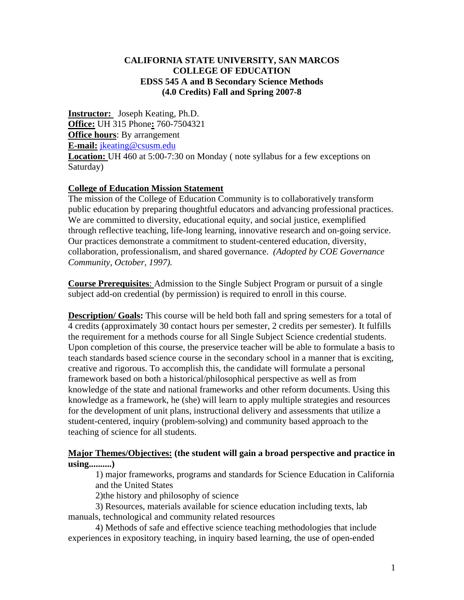#### **CALIFORNIA STATE UNIVERSITY, SAN MARCOS COLLEGE OF EDUCATION EDSS 545 A and B Secondary Science Methods (4.0 Credits) Fall and Spring 2007-8**

**Instructor:** Joseph Keating, Ph.D. **Office:** UH 315 Phone**:** 760-7504321 **Office hours**: By arrangement **E-mail:** jkeating@csusm.edu **Location:** UH 460 at 5:00-7:30 on Monday ( note syllabus for a few exceptions on Saturday)

#### **College of Education Mission Statement**

The mission of the College of Education Community is to collaboratively transform public education by preparing thoughtful educators and advancing professional practices. We are committed to diversity, educational equity, and social justice, exemplified through reflective teaching, life-long learning, innovative research and on-going service. Our practices demonstrate a commitment to student-centered education, diversity, collaboration, professionalism, and shared governance. *(Adopted by COE Governance Community, October, 1997).*

**Course Prerequisites**: Admission to the Single Subject Program or pursuit of a single subject add-on credential (by permission) is required to enroll in this course.

**Description/ Goals:** This course will be held both fall and spring semesters for a total of 4 credits (approximately 30 contact hours per semester, 2 credits per semester). It fulfills the requirement for a methods course for all Single Subject Science credential students. Upon completion of this course, the preservice teacher will be able to formulate a basis to teach standards based science course in the secondary school in a manner that is exciting, creative and rigorous. To accomplish this, the candidate will formulate a personal framework based on both a historical/philosophical perspective as well as from knowledge of the state and national frameworks and other reform documents. Using this knowledge as a framework, he (she) will learn to apply multiple strategies and resources for the development of unit plans, instructional delivery and assessments that utilize a student-centered, inquiry (problem-solving) and community based approach to the teaching of science for all students.

# **Major Themes/Objectives: (the student will gain a broad perspective and practice in using..........)**

1) major frameworks, programs and standards for Science Education in California and the United States

2)the history and philosophy of science

 3) Resources, materials available for science education including texts, lab manuals, technological and community related resources

 4) Methods of safe and effective science teaching methodologies that include experiences in expository teaching, in inquiry based learning, the use of open-ended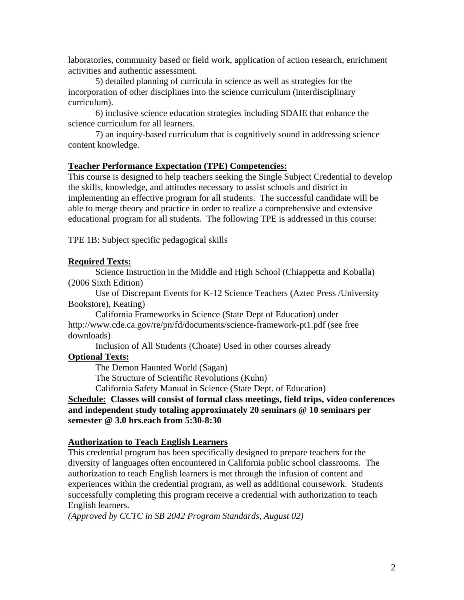laboratories, community based or field work, application of action research, enrichment activities and authentic assessment.

 5) detailed planning of curricula in science as well as strategies for the incorporation of other disciplines into the science curriculum (interdisciplinary curriculum).

 6) inclusive science education strategies including SDAIE that enhance the science curriculum for all learners.

 7) an inquiry-based curriculum that is cognitively sound in addressing science content knowledge.

#### **Teacher Performance Expectation (TPE) Competencies:**

This course is designed to help teachers seeking the Single Subject Credential to develop the skills, knowledge, and attitudes necessary to assist schools and district in implementing an effective program for all students. The successful candidate will be able to merge theory and practice in order to realize a comprehensive and extensive educational program for all students. The following TPE is addressed in this course:

TPE 1B: Subject specific pedagogical skills

# **Required Texts:**

Science Instruction in the Middle and High School (Chiappetta and Koballa) (2006 Sixth Edition)

Use of Discrepant Events for K-12 Science Teachers (Aztec Press /University Bookstore), Keating)

California Frameworks in Science (State Dept of Education) under http://www.cde.ca.gov/re/pn/fd/documents/science-framework-pt1.pdf (see free downloads)

 Inclusion of All Students (Choate) Used in other courses already **Optional Texts:**

The Demon Haunted World (Sagan)

The Structure of Scientific Revolutions (Kuhn)

California Safety Manual in Science (State Dept. of Education)

# **Schedule: Classes will consist of formal class meetings, field trips, video conferences and independent study totaling approximately 20 seminars @ 10 seminars per semester @ 3.0 hrs.each from 5:30-8:30**

# **Authorization to Teach English Learners**

This credential program has been specifically designed to prepare teachers for the diversity of languages often encountered in California public school classrooms. The authorization to teach English learners is met through the infusion of content and experiences within the credential program, as well as additional coursework. Students successfully completing this program receive a credential with authorization to teach English learners.

*(Approved by CCTC in SB 2042 Program Standards, August 02)*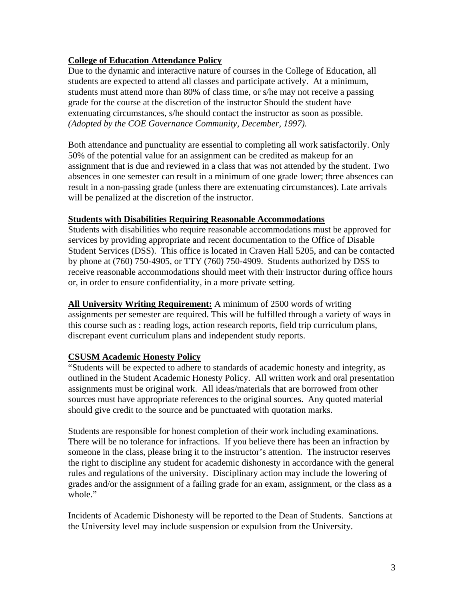# **College of Education Attendance Policy**

Due to the dynamic and interactive nature of courses in the College of Education, all students are expected to attend all classes and participate actively. At a minimum, students must attend more than 80% of class time, or s/he may not receive a passing grade for the course at the discretion of the instructor Should the student have extenuating circumstances, s/he should contact the instructor as soon as possible. *(Adopted by the COE Governance Community, December, 1997).*

Both attendance and punctuality are essential to completing all work satisfactorily. Only 50% of the potential value for an assignment can be credited as makeup for an assignment that is due and reviewed in a class that was not attended by the student. Two absences in one semester can result in a minimum of one grade lower; three absences can result in a non-passing grade (unless there are extenuating circumstances). Late arrivals will be penalized at the discretion of the instructor.

#### **Students with Disabilities Requiring Reasonable Accommodations**

Students with disabilities who require reasonable accommodations must be approved for services by providing appropriate and recent documentation to the Office of Disable Student Services (DSS). This office is located in Craven Hall 5205, and can be contacted by phone at (760) 750-4905, or TTY (760) 750-4909. Students authorized by DSS to receive reasonable accommodations should meet with their instructor during office hours or, in order to ensure confidentiality, in a more private setting.

**All University Writing Requirement:** A minimum of 2500 words of writing assignments per semester are required. This will be fulfilled through a variety of ways in this course such as : reading logs, action research reports, field trip curriculum plans, discrepant event curriculum plans and independent study reports.

# **CSUSM Academic Honesty Policy**

"Students will be expected to adhere to standards of academic honesty and integrity, as outlined in the Student Academic Honesty Policy. All written work and oral presentation assignments must be original work. All ideas/materials that are borrowed from other sources must have appropriate references to the original sources. Any quoted material should give credit to the source and be punctuated with quotation marks.

Students are responsible for honest completion of their work including examinations. There will be no tolerance for infractions. If you believe there has been an infraction by someone in the class, please bring it to the instructor's attention. The instructor reserves the right to discipline any student for academic dishonesty in accordance with the general rules and regulations of the university. Disciplinary action may include the lowering of grades and/or the assignment of a failing grade for an exam, assignment, or the class as a whole."

Incidents of Academic Dishonesty will be reported to the Dean of Students. Sanctions at the University level may include suspension or expulsion from the University.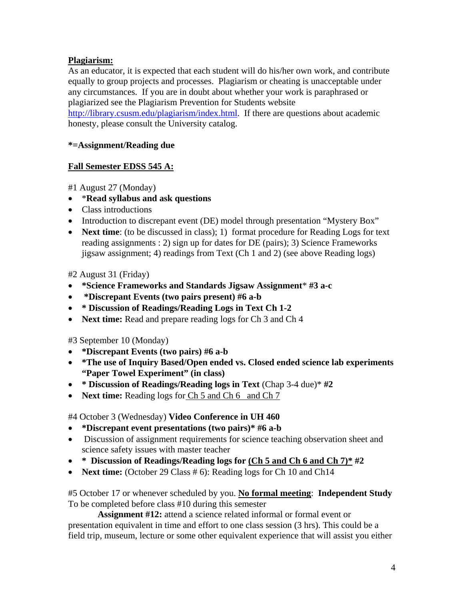# **Plagiarism:**

As an educator, it is expected that each student will do his/her own work, and contribute equally to group projects and processes. Plagiarism or cheating is unacceptable under any circumstances. If you are in doubt about whether your work is paraphrased or plagiarized see the Plagiarism Prevention for Students website http://library.csusm.edu/plagiarism/index.html. If there are questions about academic honesty, please consult the University catalog.

# **\*=Assignment/Reading due**

# **Fall Semester EDSS 545 A:**

#1 August 27 (Monday)

- \***Read syllabus and ask questions**
- Class introductions
- Introduction to discrepant event (DE) model through presentation "Mystery Box"
- **Next time**: (to be discussed in class); 1) format procedure for Reading Logs for text reading assignments : 2) sign up for dates for DE (pairs); 3) Science Frameworks jigsaw assignment; 4) readings from Text (Ch 1 and 2) (see above Reading logs)

#2 August 31 (Friday)

- **\*Science Frameworks and Standards Jigsaw Assignment**\* **#3 a-c**
- • **\*Discrepant Events (two pairs present) #6 a-b**
- **\* Discussion of Readings/Reading Logs in Text Ch 1-2**
- **Next time:** Read and prepare reading logs for Ch 3 and Ch 4

#3 September 10 (Monday)

- **\*Discrepant Events (two pairs) #6 a-b**
- **\*The use of Inquiry Based/Open ended vs. Closed ended science lab experiments "Paper Towel Experiment" (in class)**
- **\* Discussion of Readings/Reading logs in Text** (Chap 3-4 due)\* **#2**
- **Next time:** Reading logs for Ch 5 and Ch 6 and Ch 7

#4 October 3 (Wednesday) **Video Conference in UH 460** 

- **\*Discrepant event presentations (two pairs)\* #6 a-b**
- Discussion of assignment requirements for science teaching observation sheet and science safety issues with master teacher
- **\* Discussion of Readings/Reading logs for (Ch 5 and Ch 6 and Ch 7)\* #2**
- **Next time:** (October 29 Class # 6): Reading logs for Ch 10 and Ch14

#5 October 17 or whenever scheduled by you. **No formal meeting**: **Independent Study**  To be completed before class #10 during this semester

 **Assignment #12:** attend a science related informal or formal event or presentation equivalent in time and effort to one class session (3 hrs). This could be a field trip, museum, lecture or some other equivalent experience that will assist you either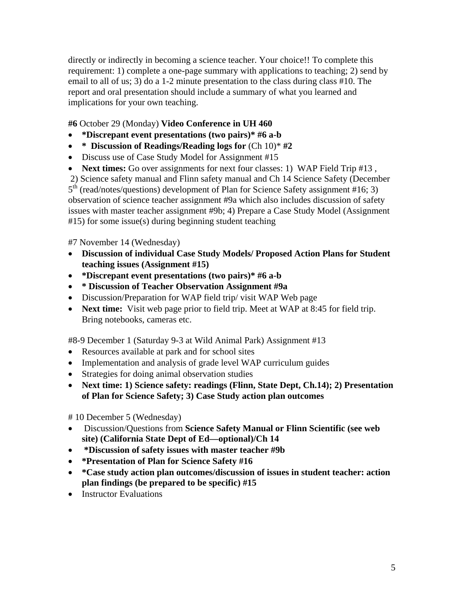directly or indirectly in becoming a science teacher. Your choice!! To complete this requirement: 1) complete a one-page summary with applications to teaching; 2) send by email to all of us; 3) do a 1-2 minute presentation to the class during class #10. The report and oral presentation should include a summary of what you learned and implications for your own teaching.

# **#6** October 29 (Monday) **Video Conference in UH 460**

- **\*Discrepant event presentations (two pairs)\* #6 a-b**
- **\* Discussion of Readings/Reading logs for** (Ch 10)\* **#2**
- Discuss use of Case Study Model for Assignment #15
- **Next times:** Go over assignments for next four classes: 1) WAP Field Trip #13,

 2) Science safety manual and Flinn safety manual and Ch 14 Science Safety (December  $5<sup>th</sup>$  (read/notes/questions) development of Plan for Science Safety assignment #16; 3) observation of science teacher assignment #9a which also includes discussion of safety issues with master teacher assignment #9b; 4) Prepare a Case Study Model (Assignment #15) for some issue(s) during beginning student teaching

# #7 November 14 (Wednesday)

- **Discussion of individual Case Study Models/ Proposed Action Plans for Student teaching issues (Assignment #15)**
- **\*Discrepant event presentations (two pairs)\* #6 a-b**
- **\* Discussion of Teacher Observation Assignment #9a**
- Discussion/Preparation for WAP field trip/ visit WAP Web page
- **Next time:** Visit web page prior to field trip. Meet at WAP at 8:45 for field trip. Bring notebooks, cameras etc.

#8-9 December 1 (Saturday 9-3 at Wild Animal Park) Assignment #13

- Resources available at park and for school sites
- Implementation and analysis of grade level WAP curriculum guides
- Strategies for doing animal observation studies
- **Next time: 1) Science safety: readings (Flinn, State Dept, Ch.14); 2) Presentation of Plan for Science Safety; 3) Case Study action plan outcomes**

# 10 December 5 (Wednesday)

- Discussion/Questions from **Science Safety Manual or Flinn Scientific (see web site) (California State Dept of Ed—optional)/Ch 14**
- • **\*Discussion of safety issues with master teacher #9b**
- **\*Presentation of Plan for Science Safety #16**
- **\*Case study action plan outcomes/discussion of issues in student teacher: action plan findings (be prepared to be specific) #15**
- Instructor Evaluations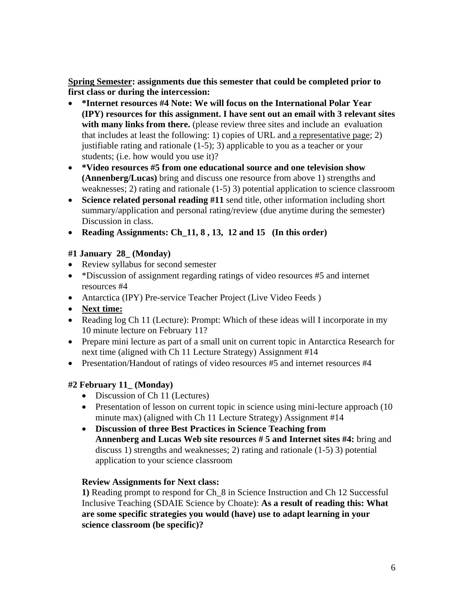**Spring Semester: assignments due this semester that could be completed prior to first class or during the intercession:** 

- **\*Internet resources #4 Note: We will focus on the International Polar Year (IPY) resources for this assignment. I have sent out an email with 3 relevant sites**  with many links from there. (please review three sites and include an evaluation that includes at least the following: 1) copies of URL and a representative page; 2) justifiable rating and rationale (1-5); 3) applicable to you as a teacher or your students; (i.e. how would you use it)?
- **\*Video resources #5 from one educational source and one television show (Annenberg/Lucas)** bring and discuss one resource from above 1) strengths and weaknesses; 2) rating and rationale (1-5) 3) potential application to science classroom
- **Science related personal reading #11** send title, other information including short summary/application and personal rating/review (due anytime during the semester) Discussion in class.
- **Reading Assignments: Ch\_11, 8 , 13, 12 and 15 (In this order)**

# **#1 January 28\_ (Monday)**

- Review syllabus for second semester
- \*Discussion of assignment regarding ratings of video resources #5 and internet resources #4
- Antarctica (IPY) Pre-service Teacher Project (Live Video Feeds)
- **Next time:**
- Reading log Ch 11 (Lecture): Prompt: Which of these ideas will I incorporate in my 10 minute lecture on February 11?
- Prepare mini lecture as part of a small unit on current topic in Antarctica Research for next time (aligned with Ch 11 Lecture Strategy) Assignment #14
- Presentation/Handout of ratings of video resources #5 and internet resources #4

# **#2 February 11\_ (Monday)**

- Discussion of Ch 11 (Lectures)
- Presentation of lesson on current topic in science using mini-lecture approach (10) minute max) (aligned with Ch 11 Lecture Strategy) Assignment #14
- **Discussion of three Best Practices in Science Teaching from Annenberg and Lucas Web site resources # 5 and Internet sites #4:** bring and discuss 1) strengths and weaknesses; 2) rating and rationale (1-5) 3) potential application to your science classroom

# **Review Assignments for Next class:**

**1)** Reading prompt to respond for Ch\_8 in Science Instruction and Ch 12 Successful Inclusive Teaching (SDAIE Science by Choate): **As a result of reading this: What are some specific strategies you would (have) use to adapt learning in your science classroom (be specific)?**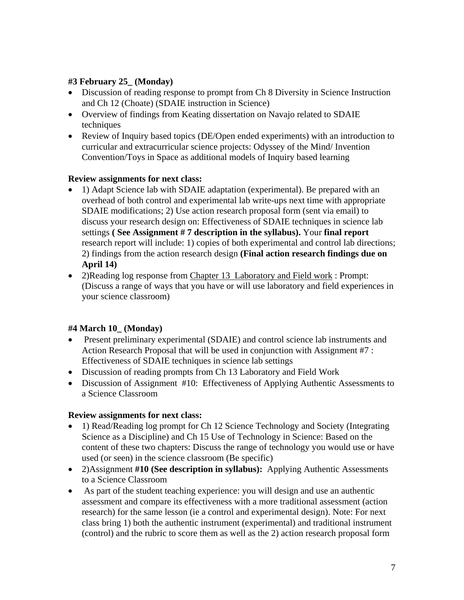# **#3 February 25\_ (Monday)**

- Discussion of reading response to prompt from Ch 8 Diversity in Science Instruction and Ch 12 (Choate) (SDAIE instruction in Science)
- Overview of findings from Keating dissertation on Navajo related to SDAIE techniques
- Review of Inquiry based topics (DE/Open ended experiments) with an introduction to curricular and extracurricular science projects: Odyssey of the Mind/ Invention Convention/Toys in Space as additional models of Inquiry based learning

# **Review assignments for next class:**

- 1) Adapt Science lab with SDAIE adaptation (experimental). Be prepared with an overhead of both control and experimental lab write-ups next time with appropriate SDAIE modifications; 2) Use action research proposal form (sent via email) to discuss your research design on: Effectiveness of SDAIE techniques in science lab settings **( See Assignment # 7 description in the syllabus).** Your **final report** research report will include: 1) copies of both experimental and control lab directions; 2) findings from the action research design **(Final action research findings due on April 14)**
- 2)Reading log response from Chapter 13 Laboratory and Field work : Prompt: (Discuss a range of ways that you have or will use laboratory and field experiences in your science classroom)

# **#4 March 10\_ (Monday)**

- Present preliminary experimental (SDAIE) and control science lab instruments and Action Research Proposal that will be used in conjunction with Assignment #7 : Effectiveness of SDAIE techniques in science lab settings
- Discussion of reading prompts from Ch 13 Laboratory and Field Work
- Discussion of Assignment #10: Effectiveness of Applying Authentic Assessments to a Science Classroom

# **Review assignments for next class:**

- 1) Read/Reading log prompt for Ch 12 Science Technology and Society (Integrating Science as a Discipline) and Ch 15 Use of Technology in Science: Based on the content of these two chapters: Discuss the range of technology you would use or have used (or seen) in the science classroom (Be specific)
- 2)Assignment **#10 (See description in syllabus):** Applying Authentic Assessments to a Science Classroom
- As part of the student teaching experience: you will design and use an authentic assessment and compare its effectiveness with a more traditional assessment (action research) for the same lesson (ie a control and experimental design). Note: For next class bring 1) both the authentic instrument (experimental) and traditional instrument (control) and the rubric to score them as well as the 2) action research proposal form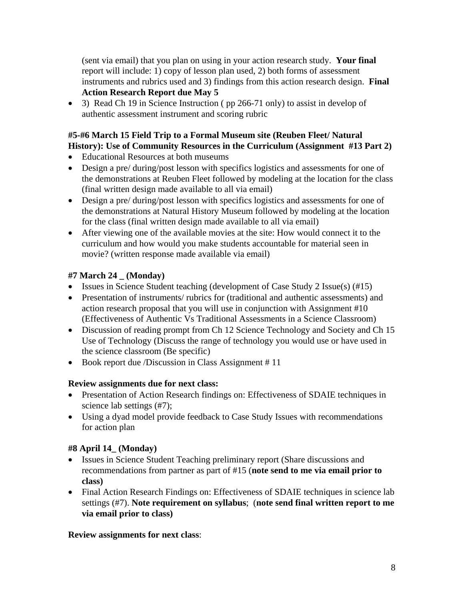(sent via email) that you plan on using in your action research study. **Your final**  report will include: 1) copy of lesson plan used, 2) both forms of assessment instruments and rubrics used and 3) findings from this action research design. **Final Action Research Report due May 5**

• 3) Read Ch 19 in Science Instruction (pp 266-71 only) to assist in develop of authentic assessment instrument and scoring rubric

# **#5-#6 March 15 Field Trip to a Formal Museum site (Reuben Fleet/ Natural History): Use of Community Resources in the Curriculum (Assignment #13 Part 2)**

- Educational Resources at both museums
- Design a pre/ during/post lesson with specifics logistics and assessments for one of the demonstrations at Reuben Fleet followed by modeling at the location for the class (final written design made available to all via email)
- Design a pre/ during/post lesson with specifics logistics and assessments for one of the demonstrations at Natural History Museum followed by modeling at the location for the class (final written design made available to all via email)
- After viewing one of the available movies at the site: How would connect it to the curriculum and how would you make students accountable for material seen in movie? (written response made available via email)

# **#7 March 24 \_ (Monday)**

- Issues in Science Student teaching (development of Case Study 2 Issue(s) (#15)
- Presentation of instruments/ rubrics for (traditional and authentic assessments) and action research proposal that you will use in conjunction with Assignment #10 (Effectiveness of Authentic Vs Traditional Assessments in a Science Classroom)
- Discussion of reading prompt from Ch 12 Science Technology and Society and Ch 15 Use of Technology (Discuss the range of technology you would use or have used in the science classroom (Be specific)
- Book report due /Discussion in Class Assignment #11

# **Review assignments due for next class:**

- Presentation of Action Research findings on: Effectiveness of SDAIE techniques in science lab settings (#7);
- Using a dyad model provide feedback to Case Study Issues with recommendations for action plan

# **#8 April 14\_ (Monday)**

- Issues in Science Student Teaching preliminary report (Share discussions and recommendations from partner as part of #15 (**note send to me via email prior to class)**
- Final Action Research Findings on: Effectiveness of SDAIE techniques in science lab settings (#7). **Note requirement on syllabus**; (**note send final written report to me via email prior to class)**

# **Review assignments for next class**: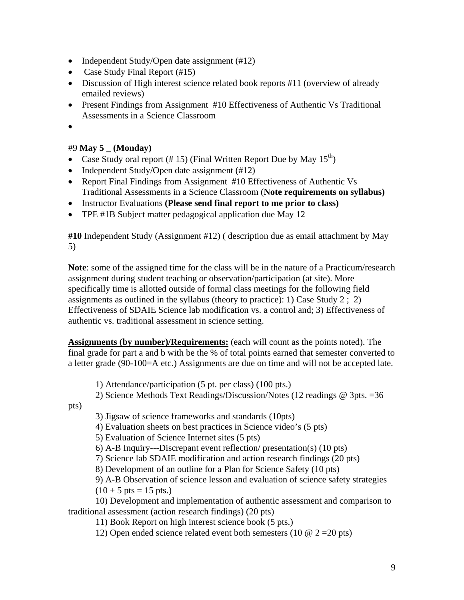- Independent Study/Open date assignment (#12)
- Case Study Final Report (#15)
- Discussion of High interest science related book reports #11 (overview of already emailed reviews)
- Present Findings from Assignment #10 Effectiveness of Authentic Vs Traditional Assessments in a Science Classroom
- •

# #9 **May 5 \_ (Monday)**

- Case Study oral report (#15) (Final Written Report Due by May  $15^{th}$ )
- Independent Study/Open date assignment (#12)
- Report Final Findings from Assignment #10 Effectiveness of Authentic Vs Traditional Assessments in a Science Classroom (**Note requirements on syllabus)**
- Instructor Evaluations **(Please send final report to me prior to class)**
- TPE #1B Subject matter pedagogical application due May 12

**#10** Independent Study (Assignment #12) ( description due as email attachment by May 5)

**Note**: some of the assigned time for the class will be in the nature of a Practicum/research assignment during student teaching or observation/participation (at site). More specifically time is allotted outside of formal class meetings for the following field assignments as outlined in the syllabus (theory to practice): 1) Case Study 2 ; 2) Effectiveness of SDAIE Science lab modification vs. a control and; 3) Effectiveness of authentic vs. traditional assessment in science setting.

**Assignments (by number)/Requirements:** (each will count as the points noted). The final grade for part a and b with be the % of total points earned that semester converted to a letter grade (90-100=A etc.) Assignments are due on time and will not be accepted late.

1) Attendance/participation (5 pt. per class) (100 pts.)

2) Science Methods Text Readings/Discussion/Notes (12 readings @ 3pts. =36

pts)

3) Jigsaw of science frameworks and standards (10pts)

4) Evaluation sheets on best practices in Science video's (5 pts)

5) Evaluation of Science Internet sites (5 pts)

6) A-B Inquiry---Discrepant event reflection/ presentation(s) (10 pts)

7) Science lab SDAIE modification and action research findings (20 pts)

8) Development of an outline for a Plan for Science Safety (10 pts)

9) A-B Observation of science lesson and evaluation of science safety strategies  $(10 + 5 \text{ pts} = 15 \text{ pts.})$ 

 10) Development and implementation of authentic assessment and comparison to traditional assessment (action research findings) (20 pts)

11) Book Report on high interest science book (5 pts.)

12) Open ended science related event both semesters (10  $\omega$  2 = 20 pts)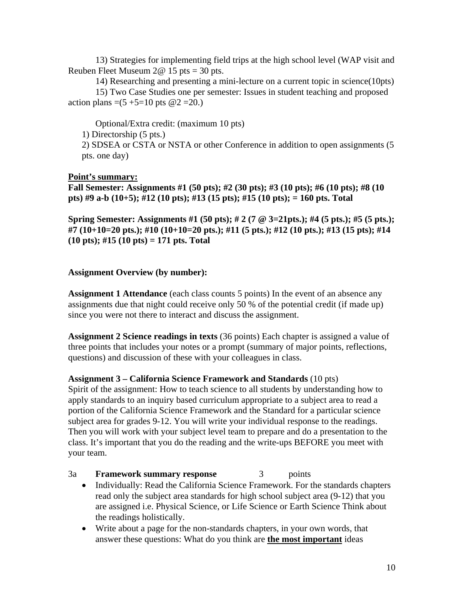13) Strategies for implementing field trips at the high school level (WAP visit and Reuben Fleet Museum  $2@ 15$  pts = 30 pts.

 14) Researching and presenting a mini-lecture on a current topic in science(10pts) 15) Two Case Studies one per semester: Issues in student teaching and proposed action plans =(5 +5=10 pts  $@2 = 20$ .)

 Optional/Extra credit: (maximum 10 pts) 1) Directorship (5 pts.) 2) SDSEA or CSTA or NSTA or other Conference in addition to open assignments (5 pts. one day)

# **Point's summary:**

**Fall Semester: Assignments #1 (50 pts); #2 (30 pts); #3 (10 pts); #6 (10 pts); #8 (10 pts) #9 a-b (10+5); #12 (10 pts); #13 (15 pts); #15 (10 pts); = 160 pts. Total** 

**Spring Semester: Assignments #1 (50 pts); # 2 (7 @ 3=21pts.); #4 (5 pts.); #5 (5 pts.); #7 (10+10=20 pts.); #10 (10+10=20 pts.); #11 (5 pts.); #12 (10 pts.); #13 (15 pts); #14 (10 pts); #15 (10 pts) = 171 pts. Total** 

#### **Assignment Overview (by number):**

**Assignment 1 Attendance** (each class counts 5 points) In the event of an absence any assignments due that night could receive only 50 % of the potential credit (if made up) since you were not there to interact and discuss the assignment.

**Assignment 2 Science readings in texts** (36 points) Each chapter is assigned a value of three points that includes your notes or a prompt (summary of major points, reflections, questions) and discussion of these with your colleagues in class.

#### **Assignment 3 – California Science Framework and Standards** (10 pts)

Spirit of the assignment: How to teach science to all students by understanding how to apply standards to an inquiry based curriculum appropriate to a subject area to read a portion of the California Science Framework and the Standard for a particular science subject area for grades 9-12. You will write your individual response to the readings. Then you will work with your subject level team to prepare and do a presentation to the class. It's important that you do the reading and the write-ups BEFORE you meet with your team.

#### 3a **Framework summary response** 3 points

- Individually: Read the California Science Framework. For the standards chapters read only the subject area standards for high school subject area (9-12) that you are assigned i.e. Physical Science, or Life Science or Earth Science Think about the readings holistically.
- Write about a page for the non-standards chapters, in your own words, that answer these questions: What do you think are **the most important** ideas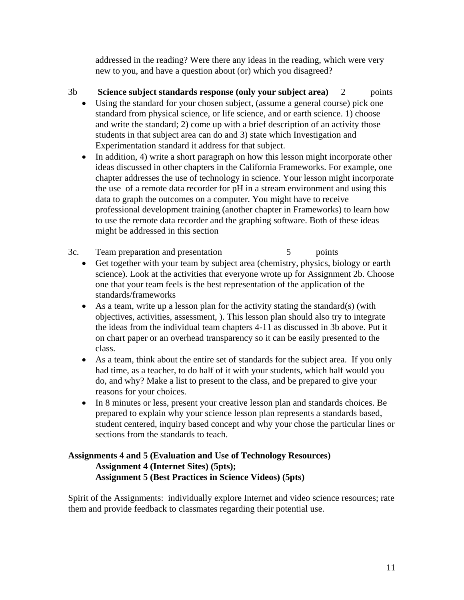addressed in the reading? Were there any ideas in the reading, which were very new to you, and have a question about (or) which you disagreed?

# 3b **Science subject standards response (only your subject area)** 2 points

- Using the standard for your chosen subject, (assume a general course) pick one standard from physical science, or life science, and or earth science. 1) choose and write the standard; 2) come up with a brief description of an activity those students in that subject area can do and 3) state which Investigation and Experimentation standard it address for that subject.
- In addition, 4) write a short paragraph on how this lesson might incorporate other ideas discussed in other chapters in the California Frameworks. For example, one chapter addresses the use of technology in science. Your lesson might incorporate the use of a remote data recorder for pH in a stream environment and using this data to graph the outcomes on a computer. You might have to receive professional development training (another chapter in Frameworks) to learn how to use the remote data recorder and the graphing software. Both of these ideas might be addressed in this section
- 3c. Team preparation and presentation 5 points
	- Get together with your team by subject area (chemistry, physics, biology or earth science). Look at the activities that everyone wrote up for Assignment 2b. Choose one that your team feels is the best representation of the application of the standards/frameworks
	- As a team, write up a lesson plan for the activity stating the standard(s) (with objectives, activities, assessment, ). This lesson plan should also try to integrate the ideas from the individual team chapters 4-11 as discussed in 3b above. Put it on chart paper or an overhead transparency so it can be easily presented to the class.
	- As a team, think about the entire set of standards for the subject area. If you only had time, as a teacher, to do half of it with your students, which half would you do, and why? Make a list to present to the class, and be prepared to give your reasons for your choices.
	- In 8 minutes or less, present your creative lesson plan and standards choices. Be prepared to explain why your science lesson plan represents a standards based, student centered, inquiry based concept and why your chose the particular lines or sections from the standards to teach.

# **Assignments 4 and 5 (Evaluation and Use of Technology Resources) Assignment 4 (Internet Sites) (5pts); Assignment 5 (Best Practices in Science Videos) (5pts)**

Spirit of the Assignments: individually explore Internet and video science resources; rate them and provide feedback to classmates regarding their potential use.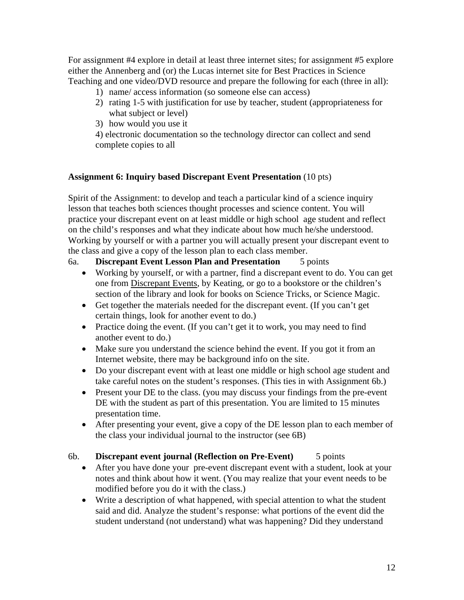For assignment #4 explore in detail at least three internet sites; for assignment #5 explore either the Annenberg and (or) the Lucas internet site for Best Practices in Science Teaching and one video/DVD resource and prepare the following for each (three in all):

- 1) name/ access information (so someone else can access)
- 2) rating 1-5 with justification for use by teacher, student (appropriateness for what subject or level)
- 3) how would you use it

4) electronic documentation so the technology director can collect and send complete copies to all

#### **Assignment 6: Inquiry based Discrepant Event Presentation** (10 pts)

Spirit of the Assignment: to develop and teach a particular kind of a science inquiry lesson that teaches both sciences thought processes and science content. You will practice your discrepant event on at least middle or high school age student and reflect on the child's responses and what they indicate about how much he/she understood. Working by yourself or with a partner you will actually present your discrepant event to the class and give a copy of the lesson plan to each class member.

# 6a. **Discrepant Event Lesson Plan and Presentation** 5 points

- Working by yourself, or with a partner, find a discrepant event to do. You can get one from Discrepant Events, by Keating, or go to a bookstore or the children's section of the library and look for books on Science Tricks, or Science Magic.
- Get together the materials needed for the discrepant event. (If you can't get certain things, look for another event to do.)
- Practice doing the event. (If you can't get it to work, you may need to find another event to do.)
- Make sure you understand the science behind the event. If you got it from an Internet website, there may be background info on the site.
- Do your discrepant event with at least one middle or high school age student and take careful notes on the student's responses. (This ties in with Assignment 6b.)
- Present your DE to the class. (you may discuss your findings from the pre-event DE with the student as part of this presentation. You are limited to 15 minutes presentation time.
- After presenting your event, give a copy of the DE lesson plan to each member of the class your individual journal to the instructor (see 6B)

# 6b. **Discrepant event journal (Reflection on Pre-Event)** 5 points

- After you have done your pre-event discrepant event with a student, look at your notes and think about how it went. (You may realize that your event needs to be modified before you do it with the class.)
- Write a description of what happened, with special attention to what the student said and did. Analyze the student's response: what portions of the event did the student understand (not understand) what was happening? Did they understand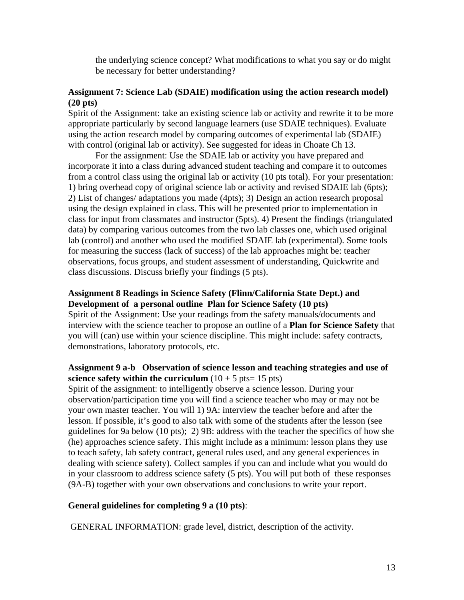the underlying science concept? What modifications to what you say or do might be necessary for better understanding?

#### **Assignment 7: Science Lab (SDAIE) modification using the action research model) (20 pts)**

Spirit of the Assignment: take an existing science lab or activity and rewrite it to be more appropriate particularly by second language learners (use SDAIE techniques). Evaluate using the action research model by comparing outcomes of experimental lab (SDAIE) with control (original lab or activity). See suggested for ideas in Choate Ch 13.

For the assignment: Use the SDAIE lab or activity you have prepared and incorporate it into a class during advanced student teaching and compare it to outcomes from a control class using the original lab or activity (10 pts total). For your presentation: 1) bring overhead copy of original science lab or activity and revised SDAIE lab (6pts); 2) List of changes/ adaptations you made (4pts); 3) Design an action research proposal using the design explained in class. This will be presented prior to implementation in class for input from classmates and instructor (5pts). 4) Present the findings (triangulated data) by comparing various outcomes from the two lab classes one, which used original lab (control) and another who used the modified SDAIE lab (experimental). Some tools for measuring the success (lack of success) of the lab approaches might be: teacher observations, focus groups, and student assessment of understanding, Quickwrite and class discussions. Discuss briefly your findings (5 pts).

#### **Assignment 8 Readings in Science Safety (Flinn/California State Dept.) and Development of a personal outline Plan for Science Safety (10 pts)**

Spirit of the Assignment: Use your readings from the safety manuals/documents and interview with the science teacher to propose an outline of a **Plan for Science Safety** that you will (can) use within your science discipline. This might include: safety contracts, demonstrations, laboratory protocols, etc.

# **Assignment 9 a-b Observation of science lesson and teaching strategies and use of science safety within the curriculum**  $(10 + 5 \text{ pts} = 15 \text{ pts})$

Spirit of the assignment: to intelligently observe a science lesson. During your observation/participation time you will find a science teacher who may or may not be your own master teacher. You will 1) 9A: interview the teacher before and after the lesson. If possible, it's good to also talk with some of the students after the lesson (see guidelines for 9a below (10 pts); 2) 9B: address with the teacher the specifics of how she (he) approaches science safety. This might include as a minimum: lesson plans they use to teach safety, lab safety contract, general rules used, and any general experiences in dealing with science safety). Collect samples if you can and include what you would do in your classroom to address science safety (5 pts). You will put both of these responses (9A-B) together with your own observations and conclusions to write your report.

#### **General guidelines for completing 9 a (10 pts)**:

GENERAL INFORMATION: grade level, district, description of the activity.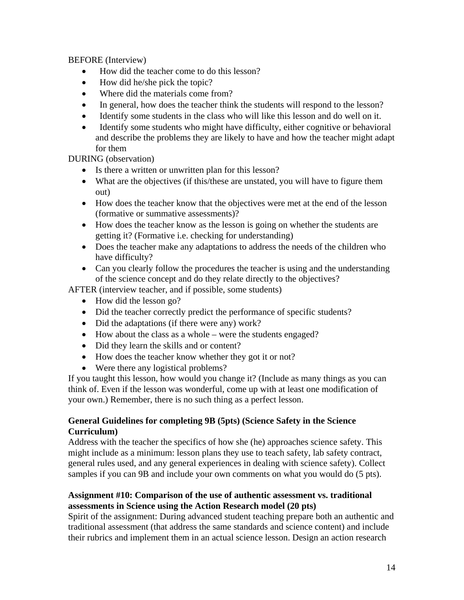BEFORE (Interview)

- How did the teacher come to do this lesson?
- How did he/she pick the topic?
- Where did the materials come from?
- In general, how does the teacher think the students will respond to the lesson?
- Identify some students in the class who will like this lesson and do well on it.
- Identify some students who might have difficulty, either cognitive or behavioral and describe the problems they are likely to have and how the teacher might adapt for them

DURING (observation)

- Is there a written or unwritten plan for this lesson?
- What are the objectives (if this/these are unstated, you will have to figure them out)
- How does the teacher know that the objectives were met at the end of the lesson (formative or summative assessments)?
- How does the teacher know as the lesson is going on whether the students are getting it? (Formative i.e. checking for understanding)
- Does the teacher make any adaptations to address the needs of the children who have difficulty?
- Can you clearly follow the procedures the teacher is using and the understanding of the science concept and do they relate directly to the objectives?

AFTER (interview teacher, and if possible, some students)

- How did the lesson go?
- Did the teacher correctly predict the performance of specific students?
- Did the adaptations (if there were any) work?
- How about the class as a whole were the students engaged?
- Did they learn the skills and or content?
- How does the teacher know whether they got it or not?
- Were there any logistical problems?

If you taught this lesson, how would you change it? (Include as many things as you can think of. Even if the lesson was wonderful, come up with at least one modification of your own.) Remember, there is no such thing as a perfect lesson.

# **General Guidelines for completing 9B (5pts) (Science Safety in the Science Curriculum)**

Address with the teacher the specifics of how she (he) approaches science safety. This might include as a minimum: lesson plans they use to teach safety, lab safety contract, general rules used, and any general experiences in dealing with science safety). Collect samples if you can 9B and include your own comments on what you would do (5 pts).

# **Assignment #10: Comparison of the use of authentic assessment vs. traditional assessments in Science using the Action Research model (20 pts)**

Spirit of the assignment: During advanced student teaching prepare both an authentic and traditional assessment (that address the same standards and science content) and include their rubrics and implement them in an actual science lesson. Design an action research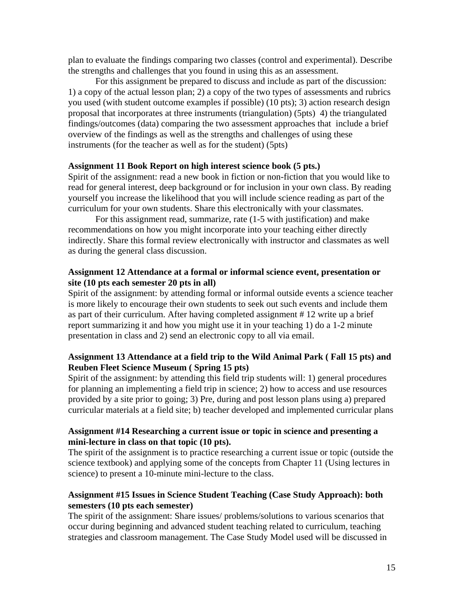plan to evaluate the findings comparing two classes (control and experimental). Describe the strengths and challenges that you found in using this as an assessment.

For this assignment be prepared to discuss and include as part of the discussion: 1) a copy of the actual lesson plan; 2) a copy of the two types of assessments and rubrics you used (with student outcome examples if possible) (10 pts); 3) action research design proposal that incorporates at three instruments (triangulation) (5pts) 4) the triangulated findings/outcomes (data) comparing the two assessment approaches that include a brief overview of the findings as well as the strengths and challenges of using these instruments (for the teacher as well as for the student) (5pts)

#### **Assignment 11 Book Report on high interest science book (5 pts.)**

Spirit of the assignment: read a new book in fiction or non-fiction that you would like to read for general interest, deep background or for inclusion in your own class. By reading yourself you increase the likelihood that you will include science reading as part of the curriculum for your own students. Share this electronically with your classmates.

 For this assignment read, summarize, rate (1-5 with justification) and make recommendations on how you might incorporate into your teaching either directly indirectly. Share this formal review electronically with instructor and classmates as well as during the general class discussion.

#### **Assignment 12 Attendance at a formal or informal science event, presentation or site (10 pts each semester 20 pts in all)**

Spirit of the assignment: by attending formal or informal outside events a science teacher is more likely to encourage their own students to seek out such events and include them as part of their curriculum. After having completed assignment # 12 write up a brief report summarizing it and how you might use it in your teaching 1) do a 1-2 minute presentation in class and 2) send an electronic copy to all via email.

#### **Assignment 13 Attendance at a field trip to the Wild Animal Park ( Fall 15 pts) and Reuben Fleet Science Museum ( Spring 15 pts)**

Spirit of the assignment: by attending this field trip students will: 1) general procedures for planning an implementing a field trip in science; 2) how to access and use resources provided by a site prior to going; 3) Pre, during and post lesson plans using a) prepared curricular materials at a field site; b) teacher developed and implemented curricular plans

#### **Assignment #14 Researching a current issue or topic in science and presenting a mini-lecture in class on that topic (10 pts).**

The spirit of the assignment is to practice researching a current issue or topic (outside the science textbook) and applying some of the concepts from Chapter 11 (Using lectures in science) to present a 10-minute mini-lecture to the class.

#### **Assignment #15 Issues in Science Student Teaching (Case Study Approach): both semesters (10 pts each semester)**

The spirit of the assignment: Share issues/ problems/solutions to various scenarios that occur during beginning and advanced student teaching related to curriculum, teaching strategies and classroom management. The Case Study Model used will be discussed in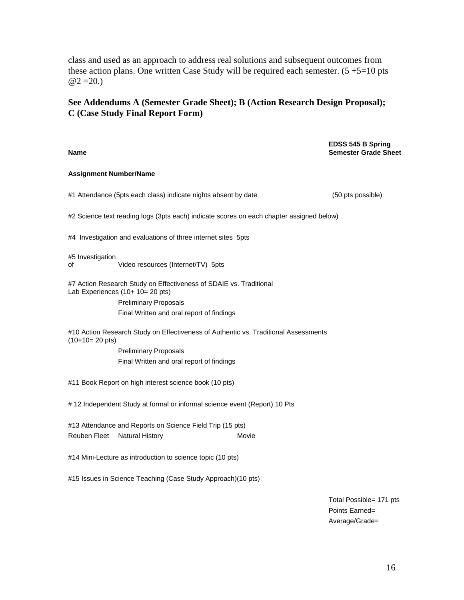class and used as an approach to address real solutions and subsequent outcomes from these action plans. One written Case Study will be required each semester.  $(5 + 5=10)$  pts  $@2 = 20.$ 

#### **See Addendums A (Semester Grade Sheet); B (Action Research Design Proposal); C (Case Study Final Report Form)**

**Name EDSS 545 B Spring Semester Grade Sheet Assignment Number/Name**  #1 Attendance (5pts each class) indicate nights absent by date (50 pts possible) #2 Science text reading logs (3pts each) indicate scores on each chapter assigned below) #4 Investigation and evaluations of three internet sites 5pts #5 Investigation of Video resources (Internet/TV) 5pts #7 Action Research Study on Effectiveness of SDAIE vs. Traditional Lab Experiences (10+ 10= 20 pts) Preliminary Proposals Final Written and oral report of findings #10 Action Research Study on Effectiveness of Authentic vs. Traditional Assessments  $(10+10=20 \text{ pts})$  Preliminary Proposals Final Written and oral report of findings #11 Book Report on high interest science book (10 pts) # 12 Independent Study at formal or informal science event (Report) 10 Pts #13 Attendance and Reports on Science Field Trip (15 pts) Reuben Fleet Natural History **Movie** Movie #14 Mini-Lecture as introduction to science topic (10 pts) #15 Issues in Science Teaching (Case Study Approach)(10 pts) Total Possible= 171 pts

 Points Earned= Average/Grade=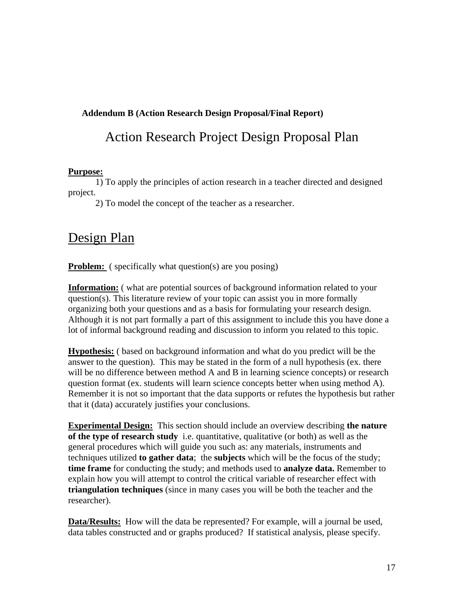# **Addendum B (Action Research Design Proposal/Final Report)**

# Action Research Project Design Proposal Plan

#### **Purpose:**

 1) To apply the principles of action research in a teacher directed and designed project.

2) To model the concept of the teacher as a researcher.

# Design Plan

**Problem:** ( specifically what question(s) are you posing)

**Information:** ( what are potential sources of background information related to your question(s). This literature review of your topic can assist you in more formally organizing both your questions and as a basis for formulating your research design. Although it is not part formally a part of this assignment to include this you have done a lot of informal background reading and discussion to inform you related to this topic.

**Hypothesis:** ( based on background information and what do you predict will be the answer to the question). This may be stated in the form of a null hypothesis (ex. there will be no difference between method A and B in learning science concepts) or research question format (ex. students will learn science concepts better when using method A). Remember it is not so important that the data supports or refutes the hypothesis but rather that it (data) accurately justifies your conclusions.

**Experimental Design:** This section should include an overview describing **the nature of the type of research study** i.e. quantitative, qualitative (or both) as well as the general procedures which will guide you such as: any materials, instruments and techniques utilized **to gather data**; the **subjects** which will be the focus of the study; **time frame** for conducting the study; and methods used to **analyze data.** Remember to explain how you will attempt to control the critical variable of researcher effect with **triangulation techniques** (since in many cases you will be both the teacher and the researcher).

**Data/Results:** How will the data be represented? For example, will a journal be used, data tables constructed and or graphs produced? If statistical analysis, please specify.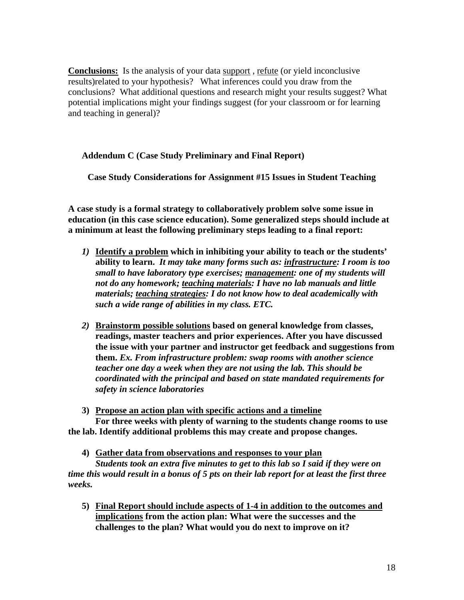**Conclusions:** Is the analysis of your data support, refute (or yield inconclusive results)related to your hypothesis? What inferences could you draw from the conclusions? What additional questions and research might your results suggest? What potential implications might your findings suggest (for your classroom or for learning and teaching in general)?

#### **Addendum C (Case Study Preliminary and Final Report)**

**Case Study Considerations for Assignment #15 Issues in Student Teaching** 

**A case study is a formal strategy to collaboratively problem solve some issue in education (in this case science education). Some generalized steps should include at a minimum at least the following preliminary steps leading to a final report:** 

- *1)* **Identify a problem which in inhibiting your ability to teach or the students' ability to learn.** *It may take many forms such as: infrastructure: I room is too small to have laboratory type exercises; management: one of my students will not do any homework; teaching materials: I have no lab manuals and little materials; teaching strategies: I do not know how to deal academically with such a wide range of abilities in my class. ETC.*
- *2)* **Brainstorm possible solutions based on general knowledge from classes, readings, master teachers and prior experiences. After you have discussed the issue with your partner and instructor get feedback and suggestions from them.** *Ex. From infrastructure problem: swap rooms with another science teacher one day a week when they are not using the lab. This should be coordinated with the principal and based on state mandated requirements for safety in science laboratories*

**3) Propose an action plan with specific actions and a timeline For three weeks with plenty of warning to the students change rooms to use the lab. Identify additional problems this may create and propose changes.** 

**4) Gather data from observations and responses to your plan** 

*Students took an extra five minutes to get to this lab so I said if they were on time this would result in a bonus of 5 pts on their lab report for at least the first three weeks.* 

**5) Final Report should include aspects of 1-4 in addition to the outcomes and implications from the action plan: What were the successes and the challenges to the plan? What would you do next to improve on it?**